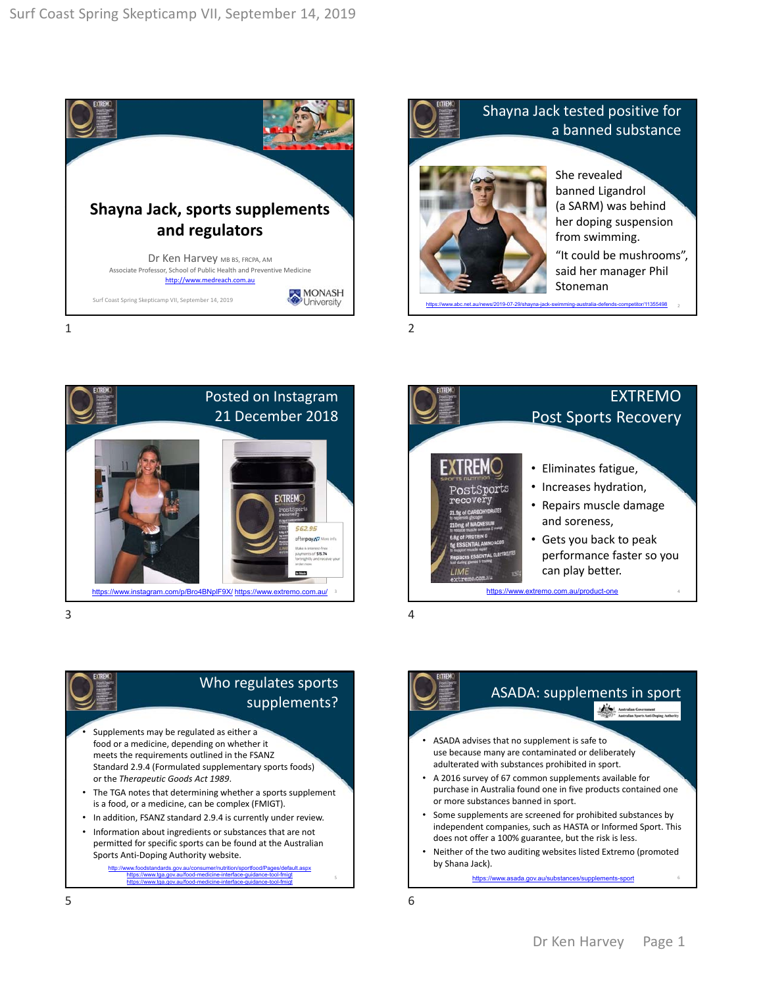







## Who regulates sports supplements?

- Supplements may be regulated as either a food or a medicine, depending on whether it meets the requirements outlined in the FSANZ Standard 2.9.4 (Formulated supplementary sports foods) or the *Therapeutic Goods Act 1989*.
- The TGA notes that determining whether a sports supplement is a food, or a medicine, can be complex (FMIGT).
- In addition, FSANZ standard 2.9.4 is currently under review.
- Information about ingredients or substances that are not permitted for specific sports can be found at the Australian Sports Anti‐Doping Authority website. http://www.foodstandards.gov.au/consumer/nutrition/sportfood/Pages/default.aspx

https://www.tga.gov.au/food-medicine-interface-guidance-tool-fmigt https://www.tga.gov.au/food-medicine-interface-guidance-tool-fmigt

ASADA: supplements in sport Andrew Australian Government<br>
Single Communism Sports Anti-Doping Auth • ASADA advises that no supplement is safe to use because many are contaminated or deliberately adulterated with substances prohibited in sport. • A 2016 survey of 67 common supplements available for purchase in Australia found one in five products contained one or more substances banned in sport. Some supplements are screened for prohibited substances by independent companies, such as HASTA or Informed Sport. This does not offer a 100% guarantee, but the risk is less. • Neither of the two auditing websites listed Extremo (promoted by Shana Jack). https://www.asada.gov.au/substances/supplements-sport 6

5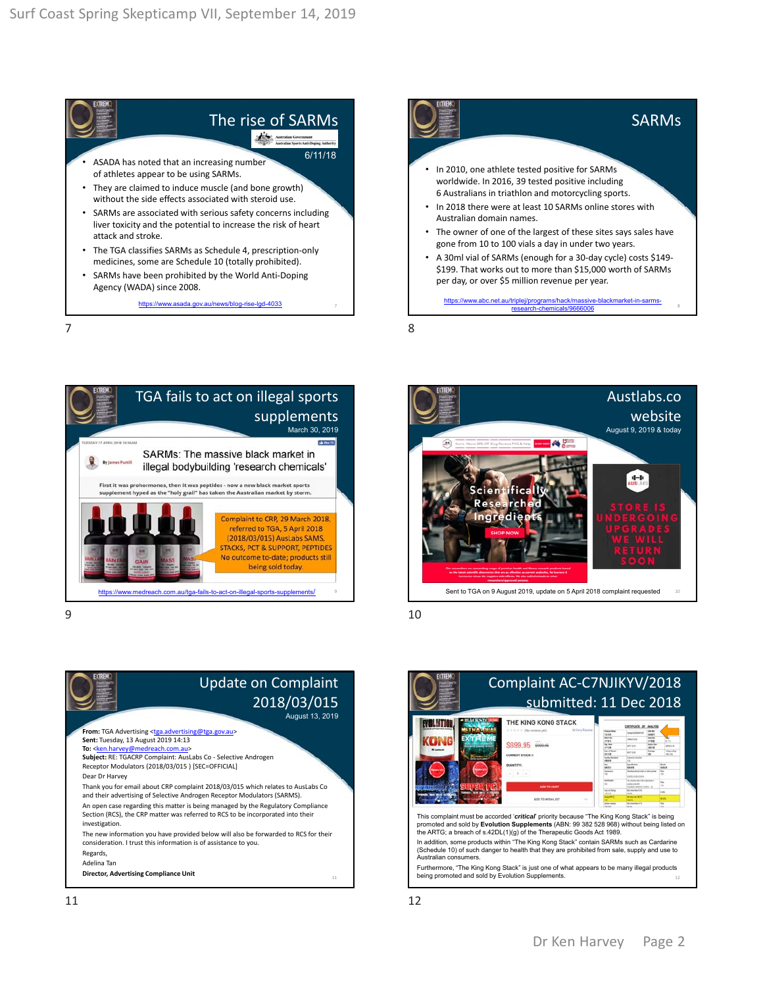## The rise of SARMs • ASADA has noted that an increasing number of athletes appear to be using SARMs. • They are claimed to induce muscle (and bone growth) without the side effects associated with steroid use. SARMs are associated with serious safety concerns including liver toxicity and the potential to increase the risk of heart attack and stroke. 6/11/18

- The TGA classifies SARMs as Schedule 4, prescription‐only medicines, some are Schedule 10 (totally prohibited).
- SARMs have been prohibited by the World Anti‐Doping Agency (WADA) since 2008.

https://www.asada.gov.au/news/blog-rise-lgd-4033

SARMs In 2010, one athlete tested positive for SARMs worldwide. In 2016, 39 tested positive including 6 Australians in triathlon and motorcycling sports. • In 2018 there were at least 10 SARMs online stores with Australian domain names. The owner of one of the largest of these sites says sales have gone from 10 to 100 vials a day in under two years. • A 30ml vial of SARMs (enough for a 30‐day cycle) costs \$149‐ \$199. That works out to more than \$15,000 worth of SARMs per day, or over \$5 million revenue per year.

https://www.abc.net.au/triplei/programs/hack/massive-blackmarket-in-sarmsresearch-chemicals/9666006

 $7$ 







 $9 \hspace{2.5cm} 10$ 

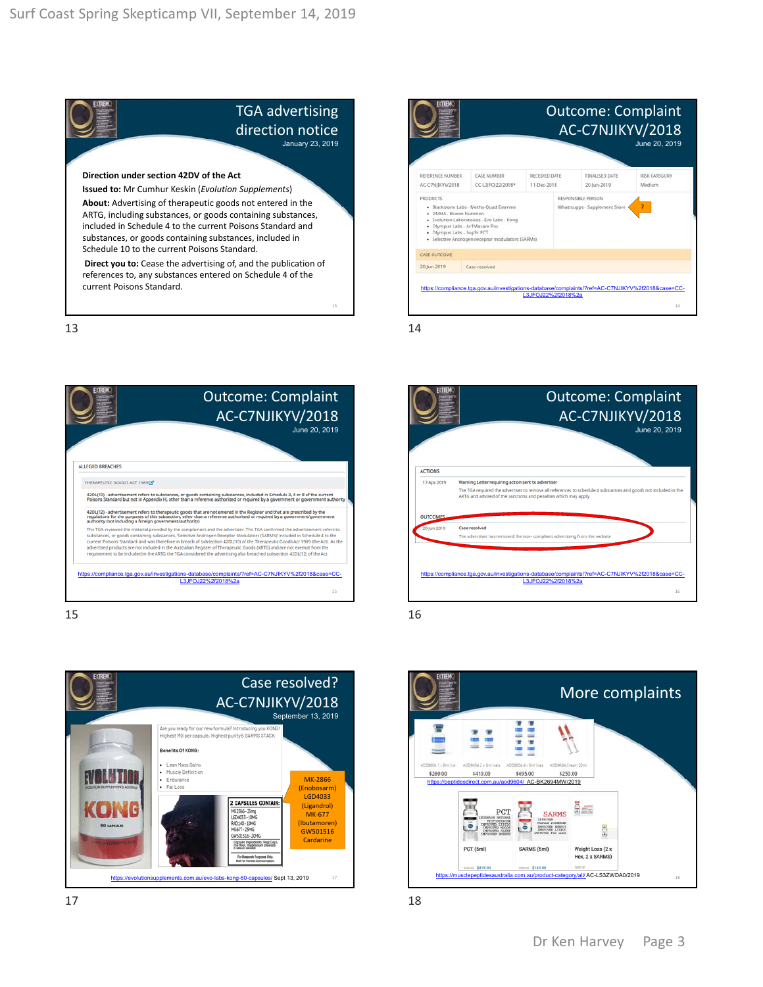



13 14









 $15$  and  $16$ 



 $17$  and  $18$